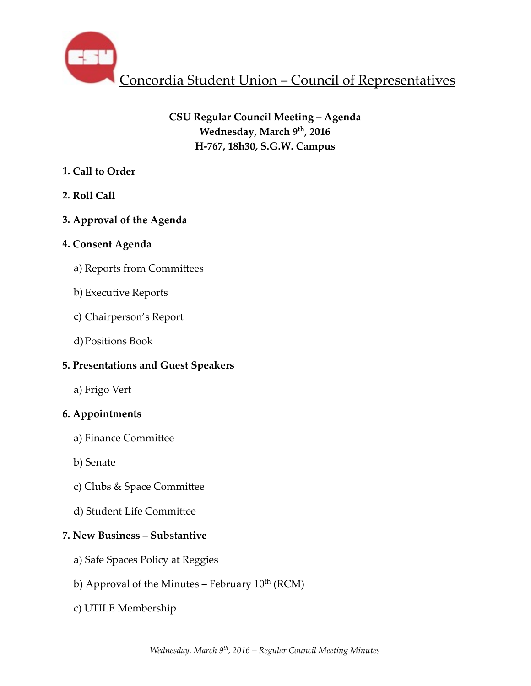

# **CSU Regular Council Meeting – Agenda** Wednesday, March 9<sup>th</sup>, 2016 **H-767, 18h30, S.G.W. Campus**

# **1. Call to Order**

**2. Roll Call** 

# **3. Approval of the Agenda**

# **4. Consent Agenda**

- a) Reports from Committees
- b) Executive Reports
- c) Chairperson's Report
- d)Positions Book

# **5. Presentations and Guest Speakers**

a) Frigo Vert

# **6. Appointments**

- a) Finance Committee
- b) Senate
- c) Clubs & Space Committee
- d) Student Life Committee

# **7. New Business – Substantive**

- a) Safe Spaces Policy at Reggies
- b) Approval of the Minutes February  $10^{th}$  (RCM)
- c) UTILE Membership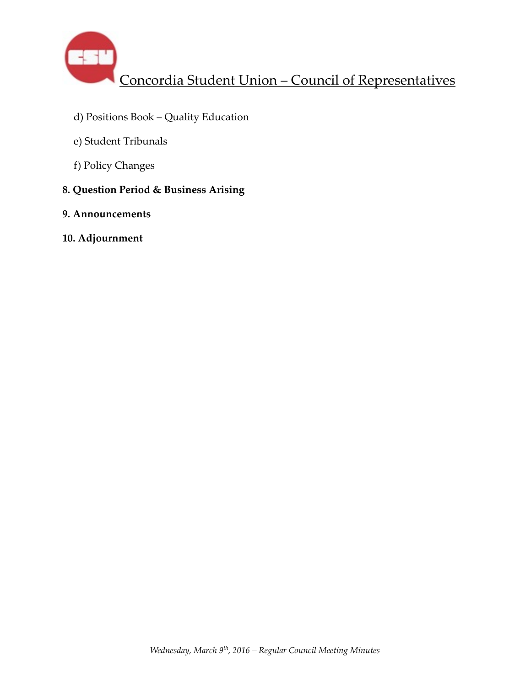

- d) Positions Book Quality Education
- e) Student Tribunals
- f) Policy Changes
- **8. Question Period & Business Arising**
- **9. Announcements**
- **10. Adjournment**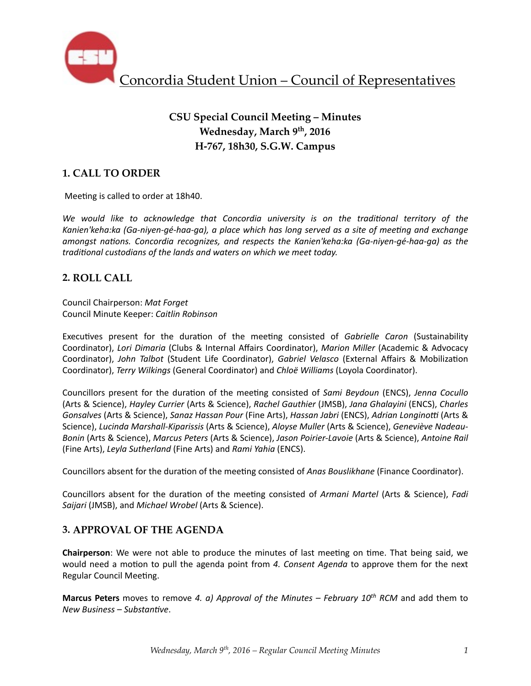

# **CSU Special Council Meeting – Minutes Wednesday, March 9th, 2016 H-767, 18h30, S.G.W. Campus**

# **1. CALL TO ORDER**

Meeting is called to order at 18h40.

We would like to acknowledge that Concordia university is on the traditional territory of the Kanien'keha:ka (Ga-niyen-gé-haa-ga), a place which has long served as a site of meeting and exchange *amongst nations. Concordia recognizes, and respects the Kanien'keha:ka (Ga-niyen-gé-haa-ga)* as the *traditional custodians of the lands and waters on which we meet today.* 

### **2. ROLL CALL**

Council Chairperson: *Mat Forget* Council Minute Keeper: *Caitlin Robinson*

Executives present for the duration of the meeting consisted of *Gabrielle Caron* (Sustainability Coordinator), *Lori Dimaria* (Clubs & Internal Affairs Coordinator), *Marion Miller* (Academic & Advocacy Coordinator), *John Talbot* (Student Life Coordinator), *Gabriel Velasco* (External Affairs & Mobilization Coordinator), *Terry Wilkings* (General Coordinator) and *Chloë Williams* (Loyola Coordinator).

Councillors present for the duration of the meeting consisted of *Sami Beydoun* (ENCS), *Jenna Cocullo* (Arts & Science), *Hayley Currier* (Arts & Science), *Rachel Gauthier* (JMSB), *Jana Ghalayini* (ENCS), *Charles Gonsalves* (Arts & Science), *Sanaz Hassan Pour* (Fine Arts), *Hassan Jabri* (ENCS), *Adrian Longinotti* (Arts & Science), *Lucinda Marshall-Kiparissis* (Arts & Science), *Aloyse Muller* (Arts & Science), *Geneviève Nadeau-*Bonin (Arts & Science), Marcus Peters (Arts & Science), Jason Poirier-Lavoie (Arts & Science), Antoine Rail (Fine Arts), *Leyla Sutherland* (Fine Arts) and *Rami Yahia* (ENCS).

Councillors absent for the duration of the meeting consisted of *Anas Bouslikhane* (Finance Coordinator).

Councillors absent for the duration of the meeting consisted of *Armani Martel* (Arts & Science), *Fadi Saijari* (JMSB), and *Michael Wrobel* (Arts & Science).

### **3. APPROVAL OF THE AGENDA**

**Chairperson**: We were not able to produce the minutes of last meeting on time. That being said, we would need a motion to pull the agenda point from 4. Consent Agenda to approve them for the next Regular Council Meeting.

**Marcus Peters** moves to remove 4. a) Approval of the Minutes – February  $10^{th}$  RCM and add them to *New Business* – Substantive.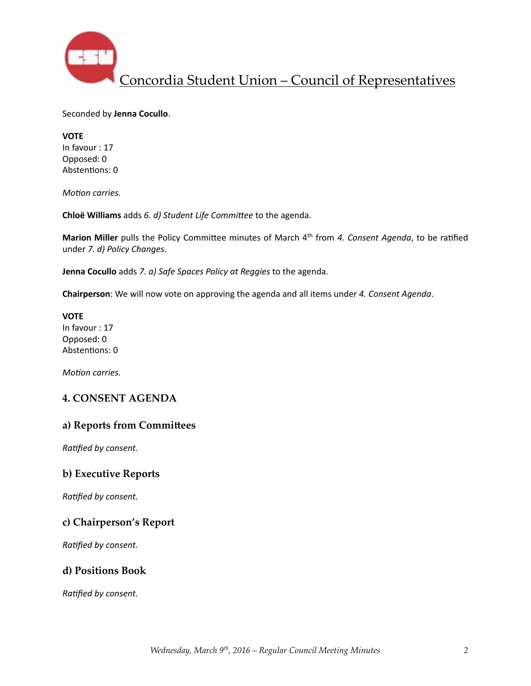

Seconded by **Jenna Cocullo**. 

**VOTE**  In favour : 17 Opposed: 0 Abstentions: 0

*Motion carries.* 

**Chloë Williams** adds 6. d) Student Life Committee to the agenda.

**Marion Miller** pulls the Policy Committee minutes of March 4<sup>th</sup> from 4. Consent Agenda, to be ratified under *7. d) Policy Changes*. 

**Jenna Cocullo** adds 7. a) Safe Spaces Policy at Reggies to the agenda.

**Chairperson**: We will now vote on approving the agenda and all items under 4. Consent Agenda.

**VOTE** In favour : 17 Opposed: 0 Abstentions: 0

*Motion carries.* 

### **4. CONSENT AGENDA**

#### a) Reports from Committees

**Ratified by consent.** 

#### **b) Executive Reports**

**Ratified by consent.** 

### **c) Chairperson's Report**

**Ratified by consent.** 

#### **d) Positions Book**

**Ratified by consent.**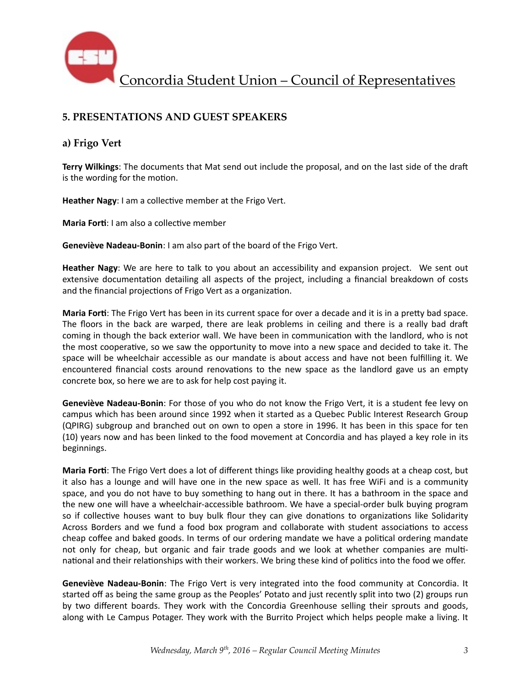

# **5. PRESENTATIONS AND GUEST SPEAKERS**

### **a) Frigo Vert**

**Terry Wilkings:** The documents that Mat send out include the proposal, and on the last side of the draft is the wording for the motion.

**Heather Nagy**: I am a collective member at the Frigo Vert.

**Maria Forti:** I am also a collective member

**Geneviève Nadeau-Bonin**: I am also part of the board of the Frigo Vert.

**Heather Nagy**: We are here to talk to you about an accessibility and expansion project. We sent out extensive documentation detailing all aspects of the project, including a financial breakdown of costs and the financial projections of Frigo Vert as a organization.

**Maria Forti**: The Frigo Vert has been in its current space for over a decade and it is in a pretty bad space. The floors in the back are warped, there are leak problems in ceiling and there is a really bad draft coming in though the back exterior wall. We have been in communication with the landlord, who is not the most cooperative, so we saw the opportunity to move into a new space and decided to take it. The space will be wheelchair accessible as our mandate is about access and have not been fulfilling it. We encountered financial costs around renovations to the new space as the landlord gave us an empty concrete box, so here we are to ask for help cost paying it.

**Geneviève Nadeau-Bonin**: For those of you who do not know the Frigo Vert, it is a student fee levy on campus which has been around since 1992 when it started as a Quebec Public Interest Research Group (QPIRG) subgroup and branched out on own to open a store in 1996. It has been in this space for ten (10) years now and has been linked to the food movement at Concordia and has played a key role in its beginnings. 

**Maria Forti:** The Frigo Vert does a lot of different things like providing healthy goods at a cheap cost, but it also has a lounge and will have one in the new space as well. It has free WiFi and is a community space, and you do not have to buy something to hang out in there. It has a bathroom in the space and the new one will have a wheelchair-accessible bathroom. We have a special-order bulk buying program so if collective houses want to buy bulk flour they can give donations to organizations like Solidarity Across Borders and we fund a food box program and collaborate with student associations to access cheap coffee and baked goods. In terms of our ordering mandate we have a political ordering mandate not only for cheap, but organic and fair trade goods and we look at whether companies are multinational and their relationships with their workers. We bring these kind of politics into the food we offer.

**Geneviève Nadeau-Bonin**: The Frigo Vert is very integrated into the food community at Concordia. It started off as being the same group as the Peoples' Potato and just recently split into two (2) groups run by two different boards. They work with the Concordia Greenhouse selling their sprouts and goods, along with Le Campus Potager. They work with the Burrito Project which helps people make a living. It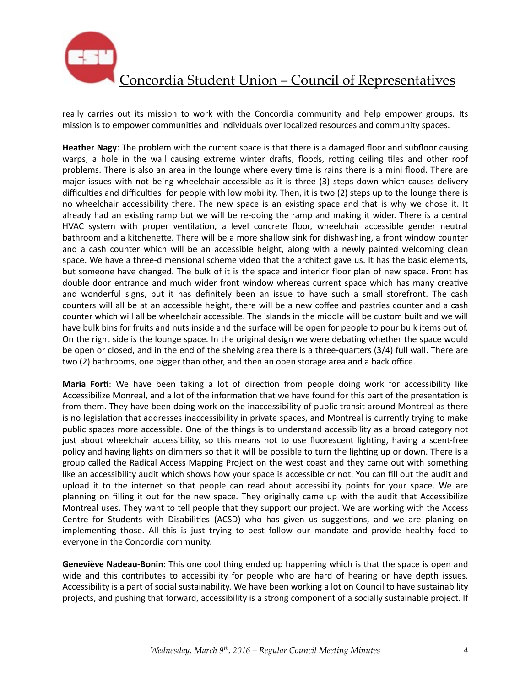

really carries out its mission to work with the Concordia community and help empower groups. Its mission is to empower communities and individuals over localized resources and community spaces.

Heather Nagy: The problem with the current space is that there is a damaged floor and subfloor causing warps, a hole in the wall causing extreme winter drafts, floods, rotting ceiling tiles and other roof problems. There is also an area in the lounge where every time is rains there is a mini flood. There are major issues with not being wheelchair accessible as it is three (3) steps down which causes delivery difficulties and difficulties for people with low mobility. Then, it is two (2) steps up to the lounge there is no wheelchair accessibility there. The new space is an existing space and that is why we chose it. It already had an existing ramp but we will be re-doing the ramp and making it wider. There is a central HVAC system with proper ventilation, a level concrete floor, wheelchair accessible gender neutral bathroom and a kitchenette. There will be a more shallow sink for dishwashing, a front window counter and a cash counter which will be an accessible height, along with a newly painted welcoming clean space. We have a three-dimensional scheme video that the architect gave us. It has the basic elements, but someone have changed. The bulk of it is the space and interior floor plan of new space. Front has double door entrance and much wider front window whereas current space which has many creative and wonderful signs, but it has definitely been an issue to have such a small storefront. The cash counters will all be at an accessible height, there will be a new coffee and pastries counter and a cash counter which will all be wheelchair accessible. The islands in the middle will be custom built and we will have bulk bins for fruits and nuts inside and the surface will be open for people to pour bulk items out of. On the right side is the lounge space. In the original design we were debating whether the space would be open or closed, and in the end of the shelving area there is a three-quarters (3/4) full wall. There are two (2) bathrooms, one bigger than other, and then an open storage area and a back office.

**Maria Forti**: We have been taking a lot of direction from people doing work for accessibility like Accessibilize Monreal, and a lot of the information that we have found for this part of the presentation is from them. They have been doing work on the inaccessibility of public transit around Montreal as there is no legislation that addresses inaccessibility in private spaces, and Montreal is currently trying to make public spaces more accessible. One of the things is to understand accessibility as a broad category not just about wheelchair accessibility, so this means not to use fluorescent lighting, having a scent-free policy and having lights on dimmers so that it will be possible to turn the lighting up or down. There is a group called the Radical Access Mapping Project on the west coast and they came out with something like an accessibility audit which shows how your space is accessible or not. You can fill out the audit and upload it to the internet so that people can read about accessibility points for your space. We are planning on filling it out for the new space. They originally came up with the audit that Accessibilize Montreal uses. They want to tell people that they support our project. We are working with the Access Centre for Students with Disabilities (ACSD) who has given us suggestions, and we are planing on implementing those. All this is just trying to best follow our mandate and provide healthy food to everyone in the Concordia community.

**Geneviève Nadeau-Bonin:** This one cool thing ended up happening which is that the space is open and wide and this contributes to accessibility for people who are hard of hearing or have depth issues. Accessibility is a part of social sustainability. We have been working a lot on Council to have sustainability projects, and pushing that forward, accessibility is a strong component of a socially sustainable project. If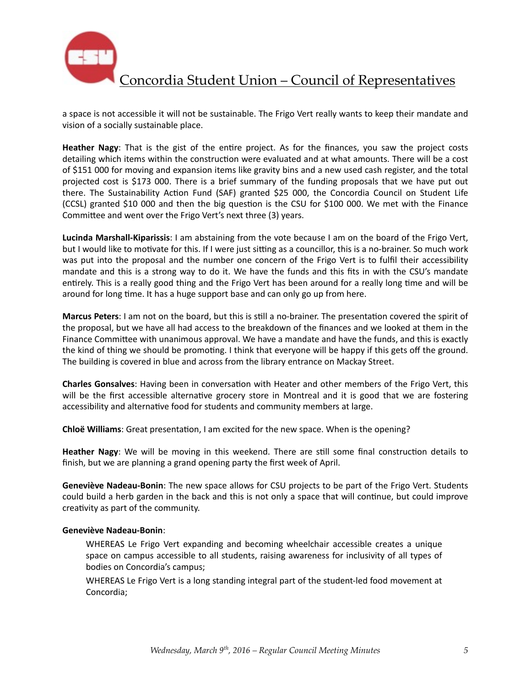

a space is not accessible it will not be sustainable. The Frigo Vert really wants to keep their mandate and vision of a socially sustainable place.

**Heather Nagy**: That is the gist of the entire project. As for the finances, you saw the project costs detailing which items within the construction were evaluated and at what amounts. There will be a cost of \$151 000 for moving and expansion items like gravity bins and a new used cash register, and the total projected cost is \$173 000. There is a brief summary of the funding proposals that we have put out there. The Sustainability Action Fund (SAF) granted \$25 000, the Concordia Council on Student Life (CCSL) granted \$10 000 and then the big question is the CSU for \$100 000. We met with the Finance Committee and went over the Frigo Vert's next three (3) years.

**Lucinda Marshall-Kiparissis**: I am abstaining from the vote because I am on the board of the Frigo Vert, but I would like to motivate for this. If I were just sitting as a councillor, this is a no-brainer. So much work was put into the proposal and the number one concern of the Frigo Vert is to fulfil their accessibility mandate and this is a strong way to do it. We have the funds and this fits in with the CSU's mandate entirely. This is a really good thing and the Frigo Vert has been around for a really long time and will be around for long time. It has a huge support base and can only go up from here.

**Marcus Peters**: I am not on the board, but this is still a no-brainer. The presentation covered the spirit of the proposal, but we have all had access to the breakdown of the finances and we looked at them in the Finance Committee with unanimous approval. We have a mandate and have the funds, and this is exactly the kind of thing we should be promoting. I think that everyone will be happy if this gets off the ground. The building is covered in blue and across from the library entrance on Mackay Street.

**Charles Gonsalves**: Having been in conversation with Heater and other members of the Frigo Vert, this will be the first accessible alternative grocery store in Montreal and it is good that we are fostering accessibility and alternative food for students and community members at large.

**Chloë Williams**: Great presentation, I am excited for the new space. When is the opening?

**Heather Nagy**: We will be moving in this weekend. There are still some final construction details to finish, but we are planning a grand opening party the first week of April.

**Geneviève Nadeau-Bonin**: The new space allows for CSU projects to be part of the Frigo Vert. Students could build a herb garden in the back and this is not only a space that will continue, but could improve creativity as part of the community.

#### **Geneviève Nadeau-Bonin**:

WHEREAS Le Frigo Vert expanding and becoming wheelchair accessible creates a unique space on campus accessible to all students, raising awareness for inclusivity of all types of bodies on Concordia's campus;

WHEREAS Le Frigo Vert is a long standing integral part of the student-led food movement at Concordia;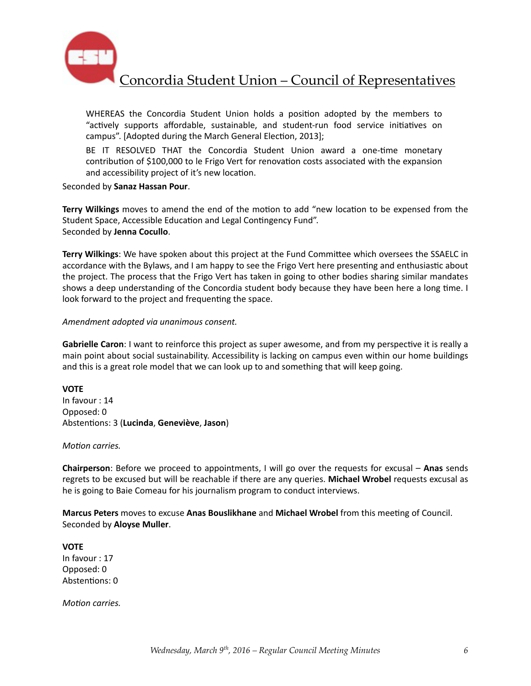

WHEREAS the Concordia Student Union holds a position adopted by the members to "actively supports affordable, sustainable, and student-run food service initiatives on campus". [Adopted during the March General Election, 2013];

BE IT RESOLVED THAT the Concordia Student Union award a one-time monetary contribution of \$100,000 to le Frigo Vert for renovation costs associated with the expansion and accessibility project of it's new location.

Seconded by **Sanaz Hassan Pour**. 

Terry Wilkings moves to amend the end of the motion to add "new location to be expensed from the Student Space, Accessible Education and Legal Contingency Fund". Seconded by **Jenna Cocullo**. 

Terry Wilkings: We have spoken about this project at the Fund Committee which oversees the SSAELC in accordance with the Bylaws, and I am happy to see the Frigo Vert here presenting and enthusiastic about the project. The process that the Frigo Vert has taken in going to other bodies sharing similar mandates shows a deep understanding of the Concordia student body because they have been here a long time. I look forward to the project and frequenting the space.

*Amendment adopted via unanimous consent.* 

**Gabrielle Caron**: I want to reinforce this project as super awesome, and from my perspective it is really a main point about social sustainability. Accessibility is lacking on campus even within our home buildings and this is a great role model that we can look up to and something that will keep going.

**VOTE** In favour : 14 Opposed: 0 Absten%ons: 3 (**Lucinda**, **Geneviève**, **Jason**)

*Motion carries.* 

**Chairperson**: Before we proceed to appointments, I will go over the requests for excusal – Anas sends regrets to be excused but will be reachable if there are any queries. Michael Wrobel requests excusal as he is going to Baie Comeau for his journalism program to conduct interviews.

Marcus Peters moves to excuse Anas Bouslikhane and Michael Wrobel from this meeting of Council. Seconded by **Aloyse Muller**. 

**VOTE** In favour : 17 Opposed: 0 Abstentions: 0

*Motion carries.*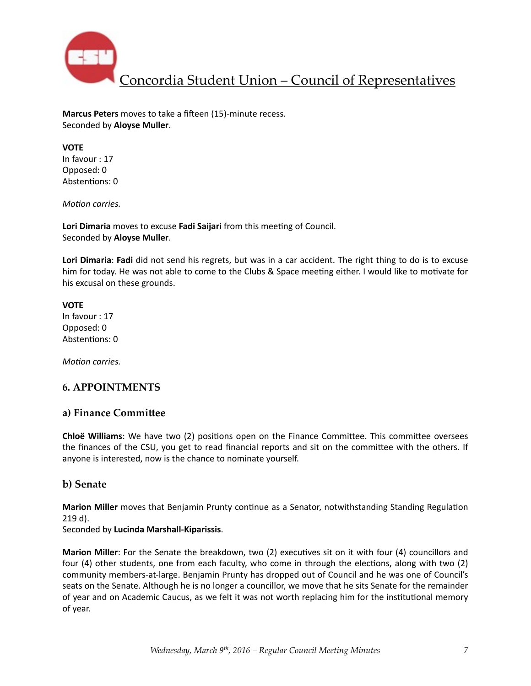

**Marcus Peters** moves to take a fifteen (15)-minute recess. Seconded by **Aloyse Muller**. 

### **VOTE**

In favour : 17 Opposed: 0 Abstentions: 0

*Motion carries.* 

Lori Dimaria moves to excuse Fadi Saijari from this meeting of Council. Seconded by **Aloyse Muller**. 

**Lori Dimaria: Fadi** did not send his regrets, but was in a car accident. The right thing to do is to excuse him for today. He was not able to come to the Clubs & Space meeting either. I would like to motivate for his excusal on these grounds.

# **VOTE** In favour : 17

Opposed: 0 Abstentions: 0

*Motion carries.* 

### **6. APPOINTMENTS**

### a) Finance Committee

**Chloë Williams**: We have two (2) positions open on the Finance Committee. This committee oversees the finances of the CSU, you get to read financial reports and sit on the committee with the others. If anyone is interested, now is the chance to nominate yourself.

### **b) Senate**

**Marion Miller** moves that Benjamin Prunty continue as a Senator, notwithstanding Standing Regulation 219 d). 

Seconded by **Lucinda Marshall-Kiparissis**. 

**Marion Miller**: For the Senate the breakdown, two (2) executives sit on it with four (4) councillors and four (4) other students, one from each faculty, who come in through the elections, along with two (2) community members-at-large. Benjamin Prunty has dropped out of Council and he was one of Council's seats on the Senate. Although he is no longer a councillor, we move that he sits Senate for the remainder of year and on Academic Caucus, as we felt it was not worth replacing him for the institutional memory of year.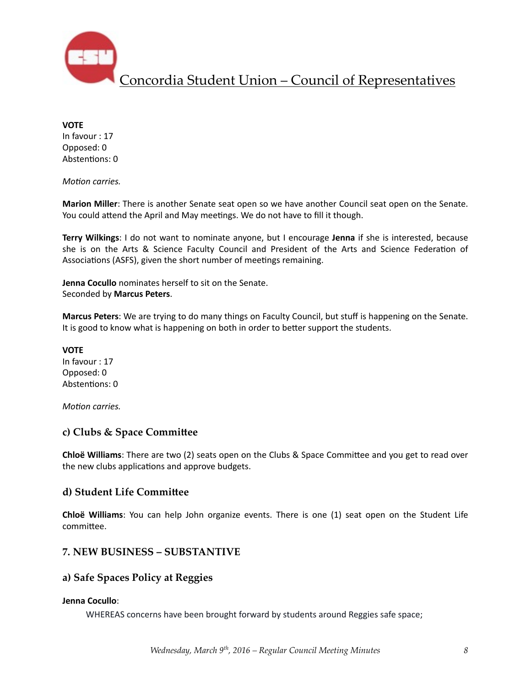

**VOTE** 

In favour : 17 Opposed: 0 Abstentions: 0

*Motion carries.* 

**Marion Miller**: There is another Senate seat open so we have another Council seat open on the Senate. You could attend the April and May meetings. We do not have to fill it though.

**Terry Wilkings**: I do not want to nominate anyone, but I encourage Jenna if she is interested, because she is on the Arts & Science Faculty Council and President of the Arts and Science Federation of Associations (ASFS), given the short number of meetings remaining.

**Jenna Cocullo** nominates herself to sit on the Senate. Seconded by **Marcus Peters**. 

**Marcus Peters**: We are trying to do many things on Faculty Council, but stuff is happening on the Senate. It is good to know what is happening on both in order to better support the students.

**VOTE** In favour : 17 Opposed: 0 Abstentions: 0

*Motion carries.* 

### **c)** Clubs & Space Committee

**Chloë Williams**: There are two (2) seats open on the Clubs & Space Committee and you get to read over the new clubs applications and approve budgets.

#### **d) Student Life Committee**

**Chloë Williams**: You can help John organize events. There is one (1) seat open on the Student Life committee.

### **7. NEW BUSINESS – SUBSTANTIVE**

### **a) Safe Spaces Policy at Reggies**

#### **Jenna Cocullo**:

WHEREAS concerns have been brought forward by students around Reggies safe space;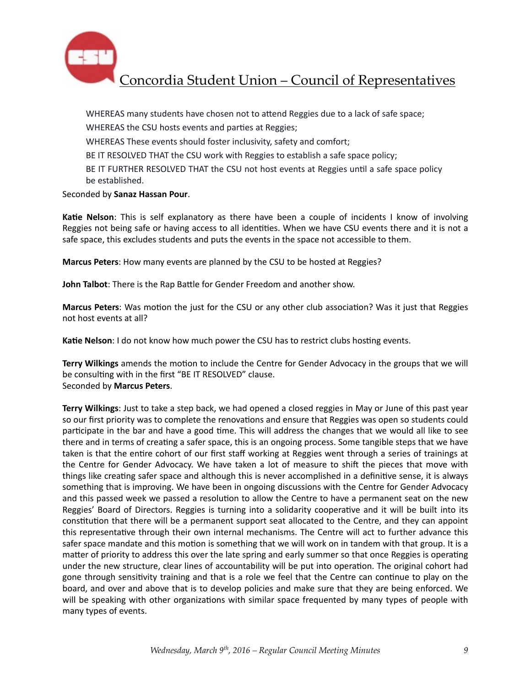

WHEREAS many students have chosen not to attend Reggies due to a lack of safe space;

WHEREAS the CSU hosts events and parties at Reggies;

WHEREAS These events should foster inclusivity, safety and comfort;

BE IT RESOLVED THAT the CSU work with Reggies to establish a safe space policy;

BE IT FURTHER RESOLVED THAT the CSU not host events at Reggies until a safe space policy be established.

#### Seconded by **Sanaz Hassan Pour**.

**Katie Nelson**: This is self explanatory as there have been a couple of incidents I know of involving Reggies not being safe or having access to all identities. When we have CSU events there and it is not a safe space, this excludes students and puts the events in the space not accessible to them.

**Marcus Peters**: How many events are planned by the CSU to be hosted at Reggies?

**John Talbot**: There is the Rap Battle for Gender Freedom and another show.

**Marcus Peters:** Was motion the just for the CSU or any other club association? Was it just that Reggies not host events at all?

**Katie Nelson**: I do not know how much power the CSU has to restrict clubs hosting events.

**Terry Wilkings** amends the motion to include the Centre for Gender Advocacy in the groups that we will be consulting with in the first "BE IT RESOLVED" clause. Seconded by **Marcus Peters**. 

**Terry Wilkings**: Just to take a step back, we had opened a closed reggies in May or June of this past year so our first priority was to complete the renovations and ensure that Reggies was open so students could participate in the bar and have a good time. This will address the changes that we would all like to see there and in terms of creating a safer space, this is an ongoing process. Some tangible steps that we have taken is that the entire cohort of our first staff working at Reggies went through a series of trainings at the Centre for Gender Advocacy. We have taken a lot of measure to shift the pieces that move with things like creating safer space and although this is never accomplished in a definitive sense, it is always something that is improving. We have been in ongoing discussions with the Centre for Gender Advocacy and this passed week we passed a resolution to allow the Centre to have a permanent seat on the new Reggies' Board of Directors. Reggies is turning into a solidarity cooperative and it will be built into its constitution that there will be a permanent support seat allocated to the Centre, and they can appoint this representative through their own internal mechanisms. The Centre will act to further advance this safer space mandate and this motion is something that we will work on in tandem with that group. It is a matter of priority to address this over the late spring and early summer so that once Reggies is operating under the new structure, clear lines of accountability will be put into operation. The original cohort had gone through sensitivity training and that is a role we feel that the Centre can continue to play on the board, and over and above that is to develop policies and make sure that they are being enforced. We will be speaking with other organizations with similar space frequented by many types of people with many types of events.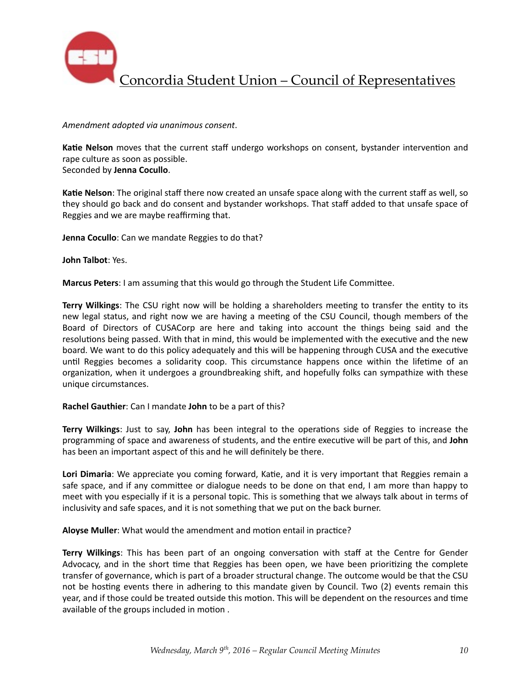

#### *Amendment adopted via unanimous consent*.

Katie Nelson moves that the current staff undergo workshops on consent, bystander intervention and rape culture as soon as possible.

Seconded by **Jenna Cocullo**. 

**Katie Nelson**: The original staff there now created an unsafe space along with the current staff as well, so they should go back and do consent and bystander workshops. That staff added to that unsafe space of Reggies and we are maybe reaffirming that.

**Jenna Cocullo**: Can we mandate Reggies to do that?

**John Talbot: Yes.** 

**Marcus Peters:** I am assuming that this would go through the Student Life Committee.

**Terry Wilkings**: The CSU right now will be holding a shareholders meeting to transfer the entity to its new legal status, and right now we are having a meeting of the CSU Council, though members of the Board of Directors of CUSACorp are here and taking into account the things being said and the resolutions being passed. With that in mind, this would be implemented with the executive and the new board. We want to do this policy adequately and this will be happening through CUSA and the executive until Reggies becomes a solidarity coop. This circumstance happens once within the lifetime of an organization, when it undergoes a groundbreaking shift, and hopefully folks can sympathize with these unique circumstances.

#### **Rachel Gauthier:** Can I mandate **John** to be a part of this?

**Terry Wilkings:** Just to say, John has been integral to the operations side of Reggies to increase the programming of space and awareness of students, and the entire executive will be part of this, and **John** has been an important aspect of this and he will definitely be there.

Lori Dimaria: We appreciate you coming forward, Katie, and it is very important that Reggies remain a safe space, and if any committee or dialogue needs to be done on that end, I am more than happy to meet with you especially if it is a personal topic. This is something that we always talk about in terms of inclusivity and safe spaces, and it is not something that we put on the back burner.

**Aloyse Muller:** What would the amendment and motion entail in practice?

**Terry Wilkings**: This has been part of an ongoing conversation with staff at the Centre for Gender Advocacy, and in the short time that Reggies has been open, we have been prioritizing the complete transfer of governance, which is part of a broader structural change. The outcome would be that the CSU not be hosting events there in adhering to this mandate given by Council. Two (2) events remain this year, and if those could be treated outside this motion. This will be dependent on the resources and time available of the groups included in motion .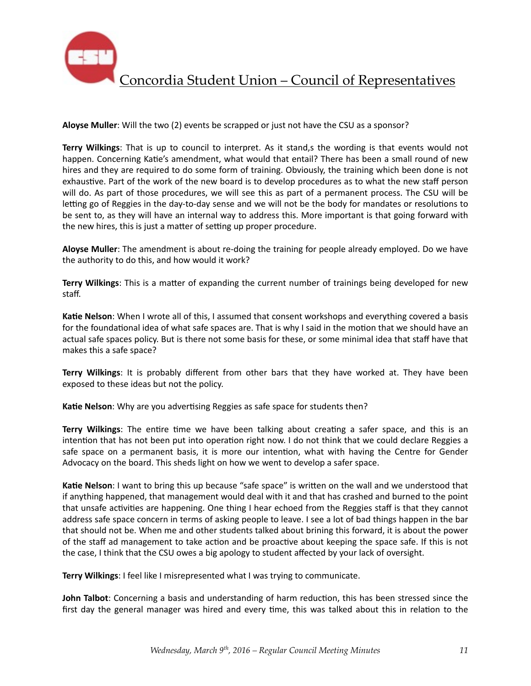

**Aloyse Muller**: Will the two (2) events be scrapped or just not have the CSU as a sponsor?

**Terry Wilkings**: That is up to council to interpret. As it stand,s the wording is that events would not happen. Concerning Katie's amendment, what would that entail? There has been a small round of new hires and they are required to do some form of training. Obviously, the training which been done is not exhaustive. Part of the work of the new board is to develop procedures as to what the new staff person will do. As part of those procedures, we will see this as part of a permanent process. The CSU will be letting go of Reggies in the day-to-day sense and we will not be the body for mandates or resolutions to be sent to, as they will have an internal way to address this. More important is that going forward with the new hires, this is just a matter of setting up proper procedure.

**Aloyse Muller**: The amendment is about re-doing the training for people already employed. Do we have the authority to do this, and how would it work?

**Terry Wilkings**: This is a matter of expanding the current number of trainings being developed for new staff. 

**Katie Nelson**: When I wrote all of this, I assumed that consent workshops and everything covered a basis for the foundational idea of what safe spaces are. That is why I said in the motion that we should have an actual safe spaces policy. But is there not some basis for these, or some minimal idea that staff have that makes this a safe space?

**Terry Wilkings**: It is probably different from other bars that they have worked at. They have been exposed to these ideas but not the policy.

**Katie Nelson**: Why are you advertising Reggies as safe space for students then?

**Terry Wilkings**: The entire time we have been talking about creating a safer space, and this is an intention that has not been put into operation right now. I do not think that we could declare Reggies a safe space on a permanent basis, it is more our intention, what with having the Centre for Gender Advocacy on the board. This sheds light on how we went to develop a safer space.

Katie Nelson: I want to bring this up because "safe space" is written on the wall and we understood that if anything happened, that management would deal with it and that has crashed and burned to the point that unsafe activities are happening. One thing I hear echoed from the Reggies staff is that they cannot address safe space concern in terms of asking people to leave. I see a lot of bad things happen in the bar that should not be. When me and other students talked about brining this forward, it is about the power of the staff ad management to take action and be proactive about keeping the space safe. If this is not the case, I think that the CSU owes a big apology to student affected by your lack of oversight.

**Terry Wilkings**: I feel like I misrepresented what I was trying to communicate.

**John Talbot**: Concerning a basis and understanding of harm reduction, this has been stressed since the first day the general manager was hired and every time, this was talked about this in relation to the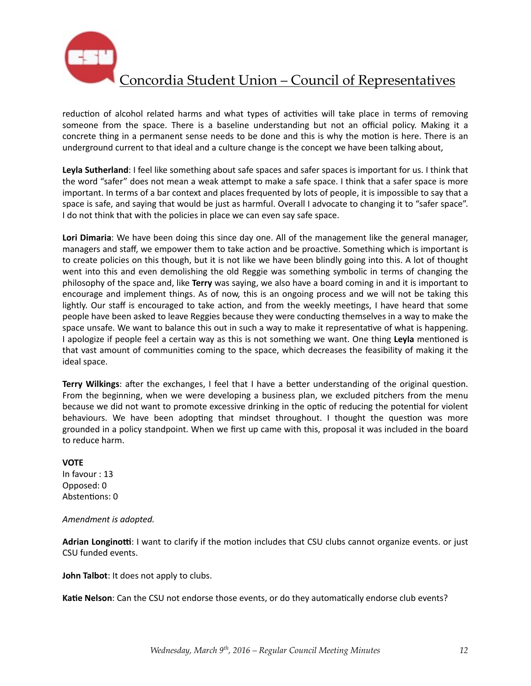

reduction of alcohol related harms and what types of activities will take place in terms of removing someone from the space. There is a baseline understanding but not an official policy. Making it a concrete thing in a permanent sense needs to be done and this is why the motion is here. There is an underground current to that ideal and a culture change is the concept we have been talking about,

Leyla Sutherland: I feel like something about safe spaces and safer spaces is important for us. I think that the word "safer" does not mean a weak attempt to make a safe space. I think that a safer space is more important. In terms of a bar context and places frequented by lots of people, it is impossible to say that a space is safe, and saying that would be just as harmful. Overall I advocate to changing it to "safer space". I do not think that with the policies in place we can even say safe space.

Lori Dimaria: We have been doing this since day one. All of the management like the general manager, managers and staff, we empower them to take action and be proactive. Something which is important is to create policies on this though, but it is not like we have been blindly going into this. A lot of thought went into this and even demolishing the old Reggie was something symbolic in terms of changing the philosophy of the space and, like **Terry** was saying, we also have a board coming in and it is important to encourage and implement things. As of now, this is an ongoing process and we will not be taking this lightly. Our staff is encouraged to take action, and from the weekly meetings, I have heard that some people have been asked to leave Reggies because they were conducting themselves in a way to make the space unsafe. We want to balance this out in such a way to make it representative of what is happening. I apologize if people feel a certain way as this is not something we want. One thing **Leyla** mentioned is that vast amount of communities coming to the space, which decreases the feasibility of making it the ideal space.

**Terry Wilkings**: after the exchanges, I feel that I have a better understanding of the original question. From the beginning, when we were developing a business plan, we excluded pitchers from the menu because we did not want to promote excessive drinking in the optic of reducing the potential for violent behaviours. We have been adopting that mindset throughout. I thought the question was more grounded in a policy standpoint. When we first up came with this, proposal it was included in the board to reduce harm.

#### **VOTE**

In favour : 13 Opposed: 0 Abstentions: 0

#### Amendment is adopted.

Adrian Longinotti: I want to clarify if the motion includes that CSU clubs cannot organize events. or just CSU funded events.

**John Talbot:** It does not apply to clubs.

Katie Nelson: Can the CSU not endorse those events, or do they automatically endorse club events?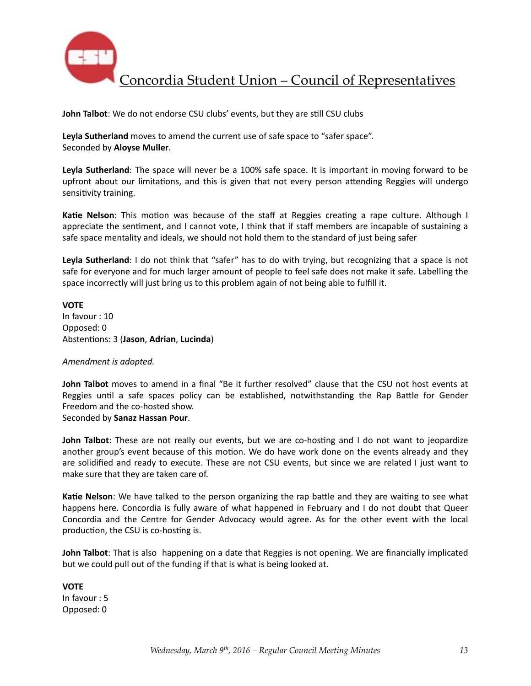

**John Talbot:** We do not endorse CSU clubs' events, but they are still CSU clubs

**Leyla Sutherland** moves to amend the current use of safe space to "safer space". Seconded by **Aloyse Muller**. 

Leyla Sutherland: The space will never be a 100% safe space. It is important in moving forward to be upfront about our limitations, and this is given that not every person attending Reggies will undergo sensitivity training.

**Katie Nelson**: This motion was because of the staff at Reggies creating a rape culture. Although I appreciate the sentiment, and I cannot vote, I think that if staff members are incapable of sustaining a safe space mentality and ideals, we should not hold them to the standard of just being safer

Leyla Sutherland: I do not think that "safer" has to do with trying, but recognizing that a space is not safe for everyone and for much larger amount of people to feel safe does not make it safe. Labelling the space incorrectly will just bring us to this problem again of not being able to fulfill it.

**VOTE**  In favour : 10 Opposed: 0 Abstentions: 3 (Jason, Adrian, Lucinda)

#### Amendment is adopted.

**John Talbot** moves to amend in a final "Be it further resolved" clause that the CSU not host events at Reggies until a safe spaces policy can be established, notwithstanding the Rap Battle for Gender Freedom and the co-hosted show.

Seconded by **Sanaz Hassan Pour**. 

**John Talbot**: These are not really our events, but we are co-hosting and I do not want to jeopardize another group's event because of this motion. We do have work done on the events already and they are solidified and ready to execute. These are not CSU events, but since we are related I just want to make sure that they are taken care of.

**Katie Nelson**: We have talked to the person organizing the rap battle and they are waiting to see what happens here. Concordia is fully aware of what happened in February and I do not doubt that Queer Concordia and the Centre for Gender Advocacy would agree. As for the other event with the local production, the CSU is co-hosting is.

**John Talbot**: That is also happening on a date that Reggies is not opening. We are financially implicated but we could pull out of the funding if that is what is being looked at.

**VOTE** In favour : 5 Opposed: 0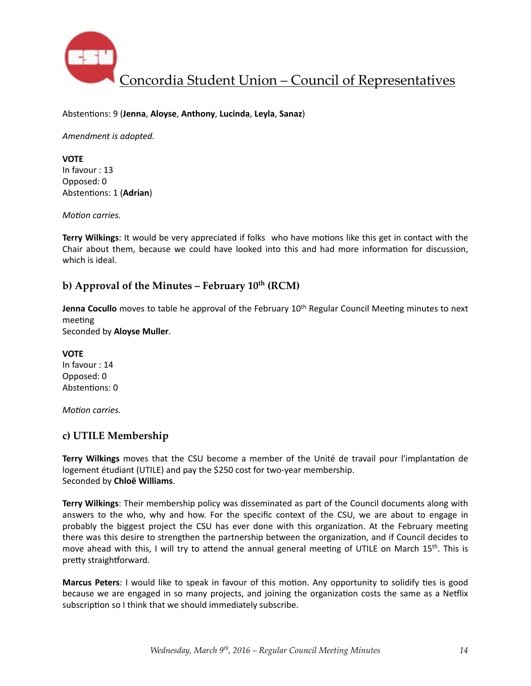

#### Absten%ons: 9 (**Jenna**, **Aloyse**, **Anthony**, **Lucinda**, **Leyla**, **Sanaz**)

Amendment is adopted.

**VOTE** In favour : 13 Opposed: 0 Abstentions: 1 (Adrian)

*Motion carries.* 

**Terry Wilkings**: It would be very appreciated if folks who have motions like this get in contact with the Chair about them, because we could have looked into this and had more information for discussion, which is ideal.

### **b)** Approval of the Minutes – February  $10^{th}$  (RCM)

**Jenna Cocullo** moves to table he approval of the February 10<sup>th</sup> Regular Council Meeting minutes to next meeting

Seconded by **Aloyse Muller**.

**VOTE** In favour : 14 Opposed: 0 Abstentions: 0

*Motion carries.* 

### **c) UTILE Membership**

**Terry Wilkings** moves that the CSU become a member of the Unité de travail pour l'implantation de logement étudiant (UTILE) and pay the \$250 cost for two-year membership. Seconded by **Chloë Williams**. 

**Terry Wilkings**: Their membership policy was disseminated as part of the Council documents along with answers to the who, why and how. For the specific context of the CSU, we are about to engage in probably the biggest project the CSU has ever done with this organization. At the February meeting there was this desire to strengthen the partnership between the organization, and if Council decides to move ahead with this, I will try to attend the annual general meeting of UTILE on March  $15<sup>th</sup>$ . This is pretty straightforward.

**Marcus Peters:** I would like to speak in favour of this motion. Any opportunity to solidify ties is good because we are engaged in so many projects, and joining the organization costs the same as a Netflix subscription so I think that we should immediately subscribe.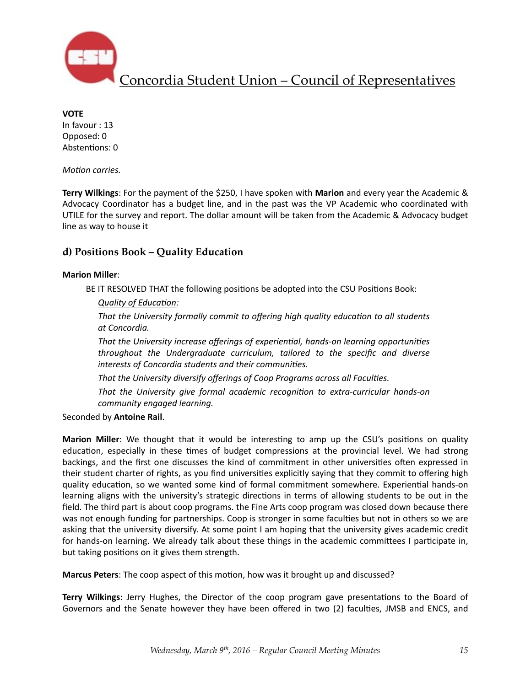

**VOTE** In favour : 13 Opposed: 0 Abstentions: 0

*Motion carries.* 

**Terry Wilkings:** For the payment of the \$250, I have spoken with **Marion** and every year the Academic & Advocacy Coordinator has a budget line, and in the past was the VP Academic who coordinated with UTILE for the survey and report. The dollar amount will be taken from the Academic & Advocacy budget line as way to house it

### **d) Positions Book – Quality Education**

#### **Marion Miller**:

BE IT RESOLVED THAT the following positions be adopted into the CSU Positions Book:

*Quality of Education:* 

That the University formally commit to offering high quality education to all students *at Concordia.* 

That the University increase offerings of experiential, hands-on learning opportunities throughout the Undergraduate curriculum, tailored to the specific and diverse interests of Concordia students and their communities.

That the University diversify offerings of Coop Programs across all Faculties.

That the University give formal academic recognition to extra-curricular hands-on *community engaged learning.*

Seconded by **Antoine Rail**. 

**Marion Miller**: We thought that it would be interesting to amp up the CSU's positions on quality education, especially in these times of budget compressions at the provincial level. We had strong backings, and the first one discusses the kind of commitment in other universities often expressed in their student charter of rights, as you find universities explicitly saying that they commit to offering high quality education, so we wanted some kind of formal commitment somewhere. Experiential hands-on learning aligns with the university's strategic directions in terms of allowing students to be out in the field. The third part is about coop programs, the Fine Arts coop program was closed down because there was not enough funding for partnerships. Coop is stronger in some faculties but not in others so we are asking that the university diversify. At some point I am hoping that the university gives academic credit for hands-on learning. We already talk about these things in the academic committees I participate in, but taking positions on it gives them strength.

**Marcus Peters**: The coop aspect of this motion, how was it brought up and discussed?

**Terry Wilkings**: Jerry Hughes, the Director of the coop program gave presentations to the Board of Governors and the Senate however they have been offered in two (2) faculties, JMSB and ENCS, and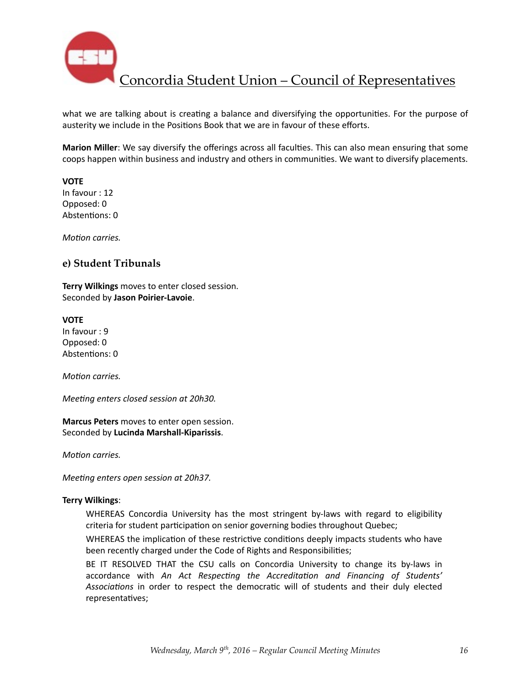

what we are talking about is creating a balance and diversifying the opportunities. For the purpose of austerity we include in the Positions Book that we are in favour of these efforts.

**Marion Miller**: We say diversify the offerings across all faculties. This can also mean ensuring that some coops happen within business and industry and others in communities. We want to diversify placements.

**VOTE** 

In favour  $: 12$ Opposed: 0 Abstentions: 0

*Motion carries.* 

### **e) Student Tribunals**

**Terry Wilkings** moves to enter closed session. Seconded by **Jason Poirier-Lavoie**. 

#### **VOTE**

In favour : 9 Opposed: 0 Abstentions: 0

*Motion carries.* 

*Meeting enters closed session at 20h30.* 

**Marcus Peters** moves to enter open session. Seconded by **Lucinda Marshall-Kiparissis**. 

*Motion carries.* 

*Meeting enters open session at 20h37.* 

#### **Terry Wilkings**:

WHEREAS Concordia University has the most stringent by-laws with regard to eligibility criteria for student participation on senior governing bodies throughout Quebec;

WHEREAS the implication of these restrictive conditions deeply impacts students who have been recently charged under the Code of Rights and Responsibilities;

BE IT RESOLVED THAT the CSU calls on Concordia University to change its by-laws in accordance with *An Act Respecting the Accreditation and Financing of Students'* Associations in order to respect the democratic will of students and their duly elected representatives;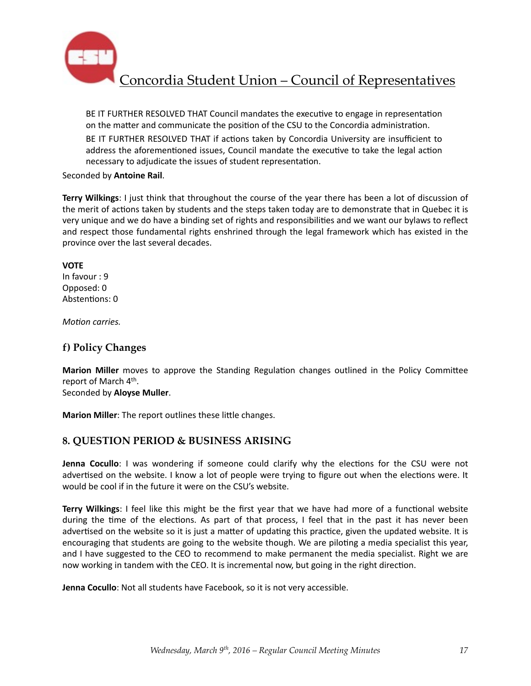

BE IT FURTHER RESOLVED THAT Council mandates the executive to engage in representation on the matter and communicate the position of the CSU to the Concordia administration.

BE IT FURTHER RESOLVED THAT if actions taken by Concordia University are insufficient to address the aforementioned issues, Council mandate the executive to take the legal action necessary to adjudicate the issues of student representation.

#### Seconded by **Antoine Rail**.

**Terry Wilkings**: I just think that throughout the course of the year there has been a lot of discussion of the merit of actions taken by students and the steps taken today are to demonstrate that in Quebec it is very unique and we do have a binding set of rights and responsibilities and we want our bylaws to reflect and respect those fundamental rights enshrined through the legal framework which has existed in the province over the last several decades.

#### **VOTE**

In favour : 9 Opposed: 0 Abstentions: 0

*Motion carries.* 

### **f) Policy Changes**

**Marion Miller** moves to approve the Standing Regulation changes outlined in the Policy Committee report of March 4<sup>th</sup>.

### Seconded by **Aloyse Muller**.

**Marion Miller:** The report outlines these little changes.

### **8. QUESTION PERIOD & BUSINESS ARISING**

**Jenna Cocullo**: I was wondering if someone could clarify why the elections for the CSU were not advertised on the website. I know a lot of people were trying to figure out when the elections were. It would be cool if in the future it were on the CSU's website.

**Terry Wilkings**: I feel like this might be the first year that we have had more of a functional website during the time of the elections. As part of that process, I feel that in the past it has never been advertised on the website so it is just a matter of updating this practice, given the updated website. It is encouraging that students are going to the website though. We are piloting a media specialist this year, and I have suggested to the CEO to recommend to make permanent the media specialist. Right we are now working in tandem with the CEO. It is incremental now, but going in the right direction.

**Jenna Cocullo**: Not all students have Facebook, so it is not very accessible.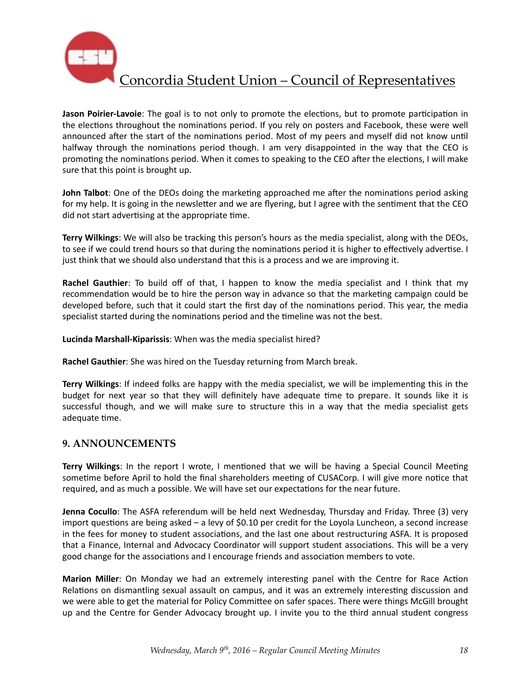

**Jason Poirier-Lavoie**: The goal is to not only to promote the elections, but to promote participation in the elections throughout the nominations period. If you rely on posters and Facebook, these were well announced after the start of the nominations period. Most of my peers and myself did not know until halfway through the nominations period though. I am very disappointed in the way that the CEO is promoting the nominations period. When it comes to speaking to the CEO after the elections, I will make sure that this point is brought up.

**John Talbot**: One of the DEOs doing the marketing approached me after the nominations period asking for my help. It is going in the newsletter and we are flyering, but I agree with the sentiment that the CEO did not start advertising at the appropriate time.

**Terry Wilkings:** We will also be tracking this person's hours as the media specialist, along with the DEOs, to see if we could trend hours so that during the nominations period it is higher to effectively advertise. I just think that we should also understand that this is a process and we are improving it.

**Rachel Gauthier**: To build off of that, I happen to know the media specialist and I think that my recommendation would be to hire the person way in advance so that the marketing campaign could be developed before, such that it could start the first day of the nominations period. This year, the media specialist started during the nominations period and the timeline was not the best.

Lucinda Marshall-Kiparissis: When was the media specialist hired?

**Rachel Gauthier**: She was hired on the Tuesday returning from March break.

**Terry Wilkings**: If indeed folks are happy with the media specialist, we will be implementing this in the budget for next year so that they will definitely have adequate time to prepare. It sounds like it is successful though, and we will make sure to structure this in a way that the media specialist gets adequate time.

#### **9. ANNOUNCEMENTS**

**Terry Wilkings**: In the report I wrote, I mentioned that we will be having a Special Council Meeting sometime before April to hold the final shareholders meeting of CUSACorp. I will give more notice that required, and as much a possible. We will have set our expectations for the near future.

**Jenna Cocullo**: The ASFA referendum will be held next Wednesday, Thursday and Friday. Three (3) very import questions are being asked  $-$  a levy of \$0.10 per credit for the Loyola Luncheon, a second increase in the fees for money to student associations, and the last one about restructuring ASFA. It is proposed that a Finance, Internal and Advocacy Coordinator will support student associations. This will be a very good change for the associations and I encourage friends and association members to vote.

**Marion Miller**: On Monday we had an extremely interesting panel with the Centre for Race Action Relations on dismantling sexual assault on campus, and it was an extremely interesting discussion and we were able to get the material for Policy Committee on safer spaces. There were things McGill brought up and the Centre for Gender Advocacy brought up. I invite you to the third annual student congress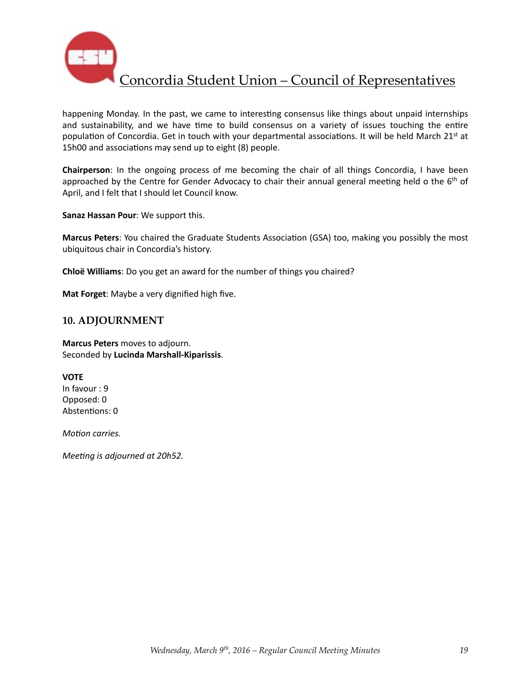

happening Monday. In the past, we came to interesting consensus like things about unpaid internships and sustainability, and we have time to build consensus on a variety of issues touching the entire population of Concordia. Get in touch with your departmental associations. It will be held March 21<sup>st</sup> at 15h00 and associations may send up to eight (8) people.

**Chairperson**: In the ongoing process of me becoming the chair of all things Concordia, I have been approached by the Centre for Gender Advocacy to chair their annual general meeting held o the 6<sup>th</sup> of April, and I felt that I should let Council know.

**Sanaz Hassan Pour:** We support this.

Marcus Peters: You chaired the Graduate Students Association (GSA) too, making you possibly the most ubiquitous chair in Concordia's history.

**Chloë Williams**: Do you get an award for the number of things you chaired?

**Mat Forget:** Maybe a very dignified high five.

### **10. ADJOURNMENT**

**Marcus Peters** moves to adjourn. Seconded by **Lucinda Marshall-Kiparissis**. 

**VOTE** In favour : 9 Opposed: 0 Abstentions: 0

*Motion carries.* 

*Meeting is adjourned at 20h52.*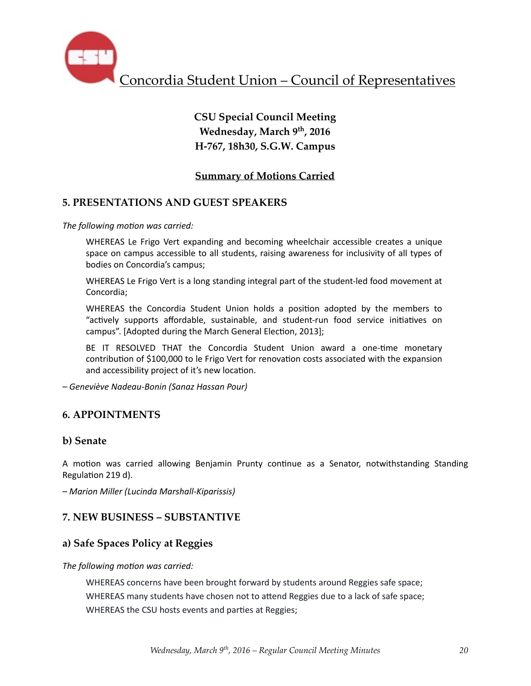

# **CSU Special Council Meeting Wednesday, March 9th, 2016 H-767, 18h30, S.G.W. Campus**

# **Summary of Motions Carried**

### **5. PRESENTATIONS AND GUEST SPEAKERS**

The following motion was carried:

WHEREAS Le Frigo Vert expanding and becoming wheelchair accessible creates a unique space on campus accessible to all students, raising awareness for inclusivity of all types of bodies on Concordia's campus;

WHEREAS Le Frigo Vert is a long standing integral part of the student-led food movement at Concordia; 

WHEREAS the Concordia Student Union holds a position adopted by the members to "actively supports affordable, sustainable, and student-run food service initiatives on campus". [Adopted during the March General Election, 2013];

BE IT RESOLVED THAT the Concordia Student Union award a one-time monetary contribution of \$100,000 to le Frigo Vert for renovation costs associated with the expansion and accessibility project of it's new location.

*– Geneviève Nadeau-Bonin (Sanaz Hassan Pour)* 

### **6. APPOINTMENTS**

#### **b) Senate**

A motion was carried allowing Benjamin Prunty continue as a Senator, notwithstanding Standing Regulation 219 d).

*– Marion Miller (Lucinda Marshall-Kiparissis)* 

### **7. NEW BUSINESS – SUBSTANTIVE**

### **a) Safe Spaces Policy at Reggies**

#### The following motion was carried:

WHEREAS concerns have been brought forward by students around Reggies safe space; WHEREAS many students have chosen not to attend Reggies due to a lack of safe space; WHEREAS the CSU hosts events and parties at Reggies;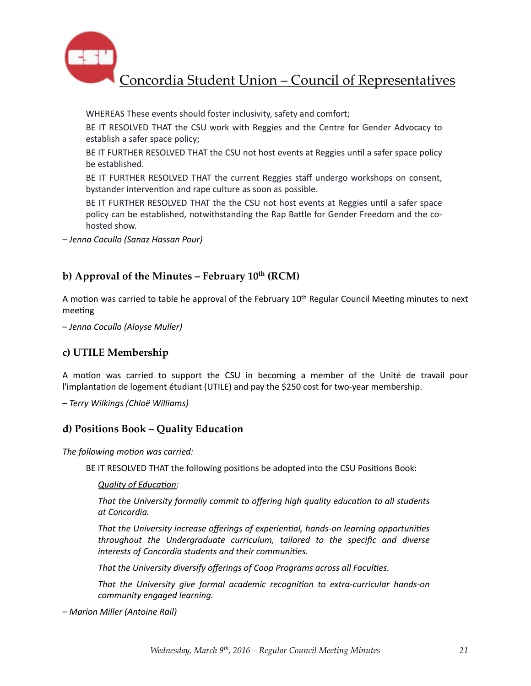

WHEREAS These events should foster inclusivity, safety and comfort;

BE IT RESOLVED THAT the CSU work with Reggies and the Centre for Gender Advocacy to establish a safer space policy;

BE IT FURTHER RESOLVED THAT the CSU not host events at Reggies until a safer space policy be established.

BE IT FURTHER RESOLVED THAT the current Reggies staff undergo workshops on consent, bystander intervention and rape culture as soon as possible.

BE IT FURTHER RESOLVED THAT the the CSU not host events at Reggies until a safer space policy can be established, notwithstanding the Rap Battle for Gender Freedom and the cohosted show.

*– Jenna Cocullo (Sanaz Hassan Pour)* 

### **b) Approval of the Minutes – February 10th (RCM)**

A motion was carried to table he approval of the February  $10^{th}$  Regular Council Meeting minutes to next meeting

*– Jenna Cocullo (Aloyse Muller)* 

### **c) UTILE Membership**

A motion was carried to support the CSU in becoming a member of the Unité de travail pour l'implantation de logement étudiant (UTILE) and pay the \$250 cost for two-year membership.

*– Terry Wilkings (Chloë Williams)* 

#### **d) Positions Book – Quality Education**

The following motion was carried:

BE IT RESOLVED THAT the following positions be adopted into the CSU Positions Book:

**Quality of Education:** 

That the University formally commit to offering high quality education to all students *at Concordia.* 

That the University increase offerings of experiential, hands-on learning opportunities *throughout the Undergraduate curriculum, tailored to the specific and diverse* interests of Concordia students and their communities.

That the University diversify offerings of Coop Programs across all Faculties.

That the University give formal academic recognition to extra-curricular hands-on *community engaged learning.*

*– Marion Miller (Antoine Rail)*